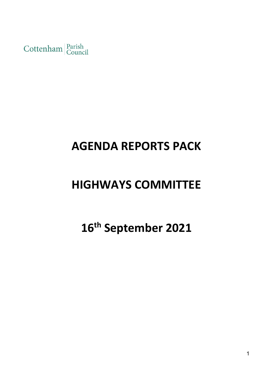Cottenham Parish

# **AGENDA REPORTS PACK**

# **HIGHWAYS COMMITTEE**

# **16th September 2021**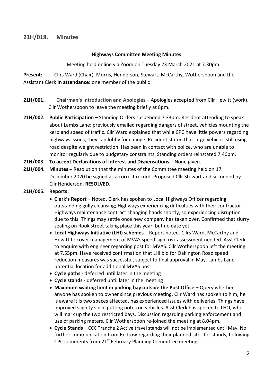# **21H/018. Minutes**

#### **Highways Committee Meeting Minutes**

Meeting held online via Zoom on Tuesday 23 March 2021 at 7.30pm

**Present:** Cllrs Ward (Chair), Morris, Henderson, Stewart, McCarthy, Wotherspoon and the Assistant Clerk **In attendance:** one member of the public

- **21H/001. Chairman's Introduction and Apologies –** Apologies accepted from Cllr Hewitt (work). Cllr Wotherspoon to leave the meeting briefly at 8pm.
- **21H/002. Public Participation –** Standing Orders suspended 7.33pm. Resident attending to speak about Lambs Lane; previously emailed regarding dangers of street, vehicles mounting the kerb and speed of traffic. Cllr Ward explained that while CPC have little powers regarding highways issues, they can lobby for change. Resident stated that large vehicles still using road despite weight restriction. Has been in contact with police, who are unable to monitor regularly due to budgetary constraints. Standing orders reinstated 7.40pm.
- **21H/003. To accept Declarations of Interest and Dispensations**  None given.
- **21H/004.** Minutes Resolution that the minutes of the Committee meeting held on 17 December 2020 be signed as a correct record. Proposed Cllr Stewart and seconded by Cllr Henderson. **RESOLVED**.
- **21H/005. Reports:**
	- **Clerk's Report** Noted. Clerk has spoken to Local Highways Officer regarding outstanding gully cleansing; Highways experiencing difficulties with their contractor. Highways maintenance contract changing hands shortly, so experiencing disruption due to this. Things may settle once new company has taken over. Confirmed that slurry sealing on Rook street taking place this year, but no date yet.
	- **Local Highways Initiative (LHI) schemes** Report noted. Cllrs Ward, McCarthy and Hewitt to cover management of MVAS speed sign, risk assessment needed. Asst Clerk to enquire with engineer regarding post for MVAS. Cllr Wotherspoon left the meeting at 7.55pm. Have received confirmation that LHI bid for Oakington Road speed reduction measures was successful, subject to final approval in May. Lambs Lane potential location for additional MVAS post.
	- **Cycle paths -** deferred until later in the meeting
	- **Cycle stands -** deferred until later in the meeting
	- **Maximum waiting limit in parking bay outside the Post Office –** Query whether anyone has spoken to owner since previous meeting. Cllr Ward has spoken to him, he is aware it is two spaces affected, has experienced issues with deliveries. Things have improved slightly since putting notes on vehicles. Asst Clerk has spoken to LHO, who will mark up the two restricted bays. Discussion regarding parking enforcement and use of parking meters. Cllr Wotherspoon re-joined the meeting at 8.04pm.
	- **Cycle Stands** CCC Tranche 2 Active travel stands will not be implemented until May. No further communication from Redrow regarding their planned sites for stands, following CPC comments from 21<sup>st</sup> February Planning Committee meeting.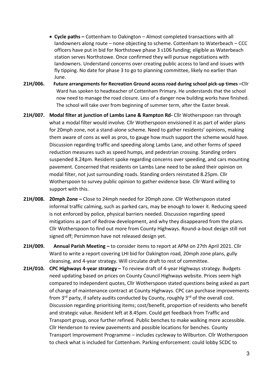- **Cycle paths –** Cottenham to Oakington Almost completed transactions with all landowners along route – none objecting to scheme. Cottenham to Waterbeach – CCC officers have put in bid for Northstowe phase 3 s106 funding; eligible as Waterbeach station serves Northstowe. Once confirmed they will pursue negotiations with landowners. Understand concerns over creating public access to land and issues with fly tipping. No date for phase 3 to go to planning committee, likely no earlier than June.
- **21H/006. Future arrangements for Recreation Ground access road during school pick-up times –**Cllr Ward has spoken to headteacher of Cottenham Primary. He understands that the school now need to manage the road closure. Less of a danger now building works have finished. The school will take over from beginning of summer term, after the Easter break.
- **21H/007. Modal filter at junction of Lambs Lane & Rampton Rd-** Cllr Wotherspoon ran through what a modal filter would involve. Cllr Wotherspoon envisioned it as part of wider plans for 20mph zone, not a stand-alone scheme. Need to gather residents' opinions, making them aware of cons as well as pros, to gauge how much support the scheme would have. Discussion regarding traffic and speeding along Lambs Lane, and other forms of speed reduction measures such as speed humps, and pedestrian crossing. Standing orders suspended 8.24pm. Resident spoke regarding concerns over speeding, and cars mounting pavement. Concerned that residents on Lambs Lane need to be asked their opinion on modal filter, not just surrounding roads. Standing orders reinstated 8.25pm. Cllr Wotherspoon to survey public opinion to gather evidence base. Cllr Ward willing to support with this.
- **21H/008. 20mph Zone –** Close to 24mph needed for 20mph zone. Cllr Wotherspoon stated informal traffic calming, such as parked cars, may be enough to lower it. Reducing speed is not enforced by police, physical barriers needed. Discussion regarding speed mitigations as part of Redrow development, and why they disappeared from the plans. Cllr Wotherspoon to find out more from County Highways. Round-a-bout design still not signed off; Persimmon have not released design yet.
- **21H/009. Annual Parish Meeting –** to consider items to report at APM on 27th April 2021. Cllr Ward to write a report covering LHI bid for Oakington road, 20mph zone plans, gully cleansing, and 4-year strategy. Will circulate draft to rest of committee.
- **21H/010. CPC Highways 4-year strategy –** To review draft of 4-year Highways strategy. Budgets need updating based on prices on County Council Highways website. Prices seem high compared to independent quotes, Cllr Wotherspoon stated questions being asked as part of change of maintenance contract at County Highways. CPC can purchase improvements from  $3^{rd}$  party, if safety audits conducted by County, roughly  $3^{rd}$  of the overall cost. Discussion regarding prioritising items; cost/benefit, proportion of residents who benefit and strategic value. Resident left at 8.45pm. Could get feedback from Traffic and Transport group, once further refined. Public benches to make walking more accessible. Cllr Henderson to review pavements and possible locations for benches. County Transport Improvement Programme – includes cycleway to Wilburton. Cllr Wotherspoon to check what is included for Cottenham. Parking enforcement: could lobby SCDC to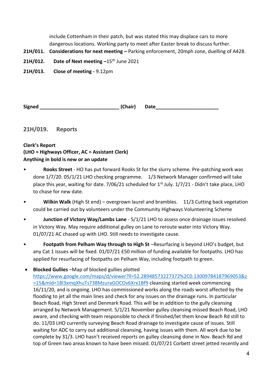include Cottenham in their patch, but was stated this may displace cars to more dangerous locations. Working party to meet after Easter break to discuss further.

- **21H/011. Considerations for next meeting –** Parking enforcement, 20mph zone, duelling of A428.
- **21H/012.** Date of Next meeting -15<sup>th</sup> June 2021

**21H/013. Close of meeting -** 9.12pm

**Signed \_\_\_\_\_\_\_\_\_\_\_\_\_\_\_\_\_\_\_\_\_\_\_\_\_\_\_\_\_ (Chair) Date\_\_\_\_\_\_\_\_\_\_\_\_\_\_\_\_\_\_\_\_\_\_\_**

**21H/019. Reports**

**Clerk's Report (LHO = Highways Officer, AC = Assistant Clerk) Anything in bold is new or an update**

- **Rooks Street** HO has put forward Rooks St for the slurry scheme. Pre-patching work was done 1/7/20. 05/1/21 LHO checking programme. 1/3 Network Manager confirmed will take place this year, waiting for date. 7/06/21 scheduled for  $1<sup>st</sup>$  July.  $1/7/21$  - Didn't take place, LHO to chase for new date.
- **Wilkin Walk** (High St end) overgrown laurel and brambles. 11/3 Cutting back vegetation could be carried out by volunteers under the Community Highways Volunteering Scheme
- **Junction of Victory Way/Lambs Lane** 5/1/21 LHO to assess once drainage issues resolved in Victory Way. May require additional gulley on Lane to reroute water into Victory Way. 01/07/21 AC chased up with LHO. Still needs to investigate cause.
- **Footpath from Pelham Way through to High St** –Resurfacing is beyond LHO's budget, but any Cat 1 issues will be fixed. 01/07/21 £50 million of funding available for footpaths. LHO has applied for resurfacing of footpaths on Pelham Way, including footpath to green.
- **Blocked Gullies** –Map of blocked gullies plotted [https://www.google.com/maps/d/viewer?ll=52.28948573227372%2C0.13009784187969053&z](https://www.google.com/maps/d/viewer?ll=52.28948573227372%2C0.13009784187969053&z=15&mid=18l3xmqXhuTs738MzuraGOCOv6Xrx1Bf9) [=15&mid=18l3xmqXhuTs738MzuraGOCOv6Xrx1Bf9](https://www.google.com/maps/d/viewer?ll=52.28948573227372%2C0.13009784187969053&z=15&mid=18l3xmqXhuTs738MzuraGOCOv6Xrx1Bf9) cleansing started week commencing 16/11/20, and is ongoing. LHO has commissioned works along the roads worst affected by the flooding to jet all the main lines and check for any issues on the drainage runs. In particular Beach Road, High Street and Denmark Road. This will be in addition to the gully cleansing arranged by Network Management. 5/1/21 November gulley cleansing missed Beach Road, LHO aware, and checking with team responsible to check if finished/let them know Beach Rd still to do. 11/03 LHO currently surveying Beach Road drainage to investigate cause of issues. Still waiting for ADC to carry out additional cleansing, having issues with them. All work due to be complete by 31/3. LHO hasn't received reports on gulley cleansing done in Nov. Beach Rd and top of Green two areas known to have been missed. 01/07/21 Corbett street jetted recently and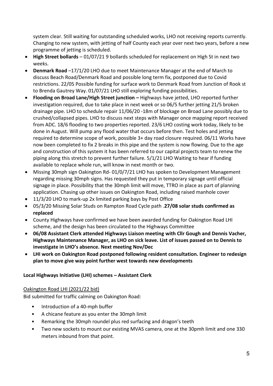system clear. Still waiting for outstanding scheduled works, LHO not receiving reports currently. Changing to new system, with jetting of half County each year over next two years, before a new programme of jetting is scheduled.

- **High Street bollards** 01/07/21 9 bollards scheduled for replacement on High St in next two weeks.
- **Denmark Road** –17/1/20 LHO due to meet Maintenance Manager at the end of March to discuss Beach Road/Denmark Road and possible long term fix, postponed due to Covid restrictions. 22/05 Possible funding for surface work to Denmark Road from Junction of Rook st to Brenda Gautrey Way. 01/07/21 LHO still exploring funding possibilities.
- **Flooding on Broad Lane/High Street junction –** Highways have jetted, LHO reported further investigation required, due to take place in next week or so 06/5 further jetting 21/5 broken drainage pipe. LHO to schedule repair 11/06/20 -18m of blockage on Broad Lane possibly due to crushed/collapsed pipes. LHO to discuss next steps with Manager once mapping report received from ADC. 18/6 flooding to two properties reported. 23/6 LHO costing work today, likely to be done in August. Will pump any flood water that occurs before then. Test holes and jetting required to determine scope of work, possible 3+ day road closure required. 06/11 Works have now been completed to fix 2 breaks in this pipe and the system is now flowing. Due to the age and construction of this system it has been referred to our capital projects team to renew the piping along this stretch to prevent further failure. 5/1/21 LHO Waiting to hear if funding available to replace whole run, will know in next month or two.
- Missing 30mph sign Oakington Rd- 01/0/7/21 LHO has spoken to Development Management regarding missing 30mph signs. Has requested they put in temporary signage until official signage in place. Possibility that the 30mph limit will move, TTRO in place as part of planning application. Chasing up other issues on Oakington Road, including raised manhole cover
- 11/3/20 LHO to mark-up 2x limited parking bays by Post Office
- 05/3/20 Missing Solar Studs on Rampton Road Cycle path .**27/08 solar studs confirmed as replaced**
- County Highways have confirmed we have been awarded funding for Oakington Road LHI scheme, and the design has been circulated to the Highways Committee
- **06/08 Assistant Clerk attended Highways Liaison meeting with Cllr Gough and Dennis Vacher, Highways Maintenance Manager, as LHO on sick leave. List of issues passed on to Dennis to investigate in LHO's absence. Next meeting Nov/Dec**
- **LHI work on Oakington Road postponed following resident consultation. Engineer to redesign plan to move give way point further west towards new developments**

#### **Local Highways Initiative (LHI) schemes – Assistant Clerk**

#### Oakington Road LHI (2021/22 bid)

Bid submitted for traffic calming on Oakington Road:

- Introduction of a 40-mph buffer
- A chicane feature as you enter the 30mph limit
- Remarking the 30mph roundel plus red surfacing and dragon's teeth
- Two new sockets to mount our existing MVAS camera, one at the 30pmh limit and one 330 meters inbound from that point.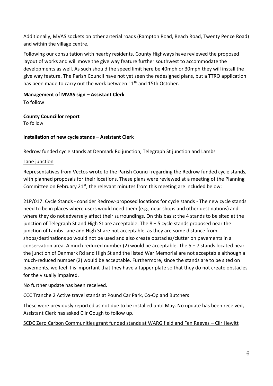Additionally, MVAS sockets on other arterial roads (Rampton Road, Beach Road, Twenty Pence Road) and within the village centre.

Following our consultation with nearby residents, County Highways have reviewed the proposed layout of works and will move the give way feature further southwest to accommodate the developments as well. As such should the speed limit here be 40mph or 30mph they will install the give way feature. The Parish Council have not yet seen the redesigned plans, but a TTRO application has been made to carry out the work between 11<sup>th</sup> and 15th October.

### **Management of MVAS sign – Assistant Clerk**

To follow

# **County Councillor report**

To follow

# **Installation of new cycle stands – Assistant Clerk**

# Redrow funded cycle stands at Denmark Rd junction, Telegraph St junction and Lambs

### Lane junction

Representatives from Vectos wrote to the Parish Council regarding the Redrow funded cycle stands, with planned proposals for their locations. These plans were reviewed at a meeting of the Planning Committee on February  $21^{st}$ , the relevant minutes from this meeting are included below:

21P/017. Cycle Stands - consider Redrow-proposed locations for cycle stands - The new cycle stands need to be in places where users would need them (e.g., near shops and other destinations) and where they do not adversely affect their surroundings. On this basis: the 4 stands to be sited at the junction of Telegraph St and High St are acceptable. The 8 + 5 cycle stands proposed near the junction of Lambs Lane and High St are not acceptable, as they are some distance from shops/destinations so would not be used and also create obstacles/clutter on pavements in a conservation area. A much reduced number (2) would be acceptable. The 5 + 7 stands located near the junction of Denmark Rd and High St and the listed War Memorial are not acceptable although a much-reduced number (2) would be acceptable. Furthermore, since the stands are to be sited on pavements, we feel it is important that they have a tapper plate so that they do not create obstacles for the visually impaired.

No further update has been received.

# CCC Tranche 2 Active travel stands at Pound Car Park, Co-Op and Butchers

These were previously reported as not due to be installed until May. No update has been received, Assistant Clerk has asked Cllr Gough to follow up.

# SCDC Zero Carbon Communities grant funded stands at WARG field and Fen Reeves – Cllr Hewitt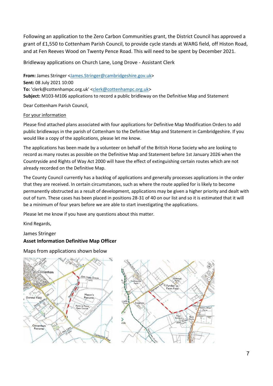Following an application to the Zero Carbon Communities grant, the District Council has approved a grant of £1,550 to Cottenham Parish Council, to provide cycle stands at WARG field, off Histon Road, and at Fen Reeves Wood on Twenty Pence Road. This will need to be spent by December 2021.

Bridleway applications on Church Lane, Long Drove - Assistant Clerk

**From:** James Stringer [<James.Stringer@cambridgeshire.gov.uk>](mailto:James.Stringer@cambridgeshire.gov.uk) **Sent:** 08 July 2021 10:00 To: 'clerk@cottenhampc.org.uk' [<clerk@cottenhampc.org.uk>](mailto:clerk@cottenhampc.org.uk) **Subject:** M103-M106 applications to record a public bridleway on the Definitive Map and Statement

Dear Cottenham Parish Council,

#### For your information

Please find attached plans associated with four applications for Definitive Map Modification Orders to add public bridleways in the parish of Cottenham to the Definitive Map and Statement in Cambridgeshire. If you would like a copy of the applications, please let me know.

The applications has been made by a volunteer on behalf of the British Horse Society who are looking to record as many routes as possible on the Definitive Map and Statement before 1st January 2026 when the Countryside and Rights of Way Act 2000 will have the effect of extinguishing certain routes which are not already recorded on the Definitive Map.

The County Council currently has a backlog of applications and generally processes applications in the order that they are received. In certain circumstances, such as where the route applied for is likely to become permanently obstructed as a result of development, applications may be given a higher priority and dealt with out of turn. These cases has been placed in positions 28-31 of 40 on our list and so it is estimated that it will be a minimum of four years before we are able to start investigating the applications.

Please let me know if you have any questions about this matter.

Kind Regards,

#### James Stringer

#### **Asset Information Definitive Map Officer**

Maps from applications shown below



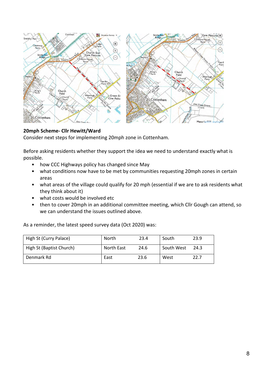

# **20mph Scheme- Cllr Hewitt/Ward**

Consider next steps for implementing 20mph zone in Cottenham.

Before asking residents whether they support the idea we need to understand exactly what is possible.

- how CCC Highways policy has changed since May
- what conditions now have to be met by communities requesting 20mph zones in certain areas
- what areas of the village could qualify for 20 mph (essential if we are to ask residents what they think about it)
- what costs would be involved etc
- then to cover 20mph in an additional committee meeting, which Cllr Gough can attend, so we can understand the issues outlined above.

As a reminder, the latest speed survey data (Oct 2020) was:

| High St (Curry Palace)   | North      | 23.4 | South      | 23.9 |
|--------------------------|------------|------|------------|------|
| High St (Baptist Church) | North East | 24.6 | South West | 24.3 |
| Denmark Rd               | East       | 23.6 | West       | 22.7 |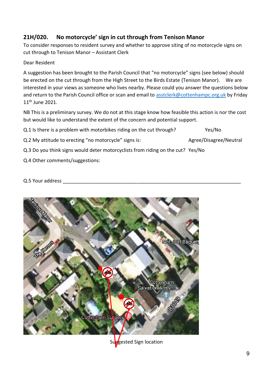# **21H/020. No motorcycle' sign in cut through from Tenison Manor**

To consider responses to resident survey and whether to approve siting of no motorcycle signs on cut through to Tenison Manor – Assistant Clerk

### Dear Resident

A suggestion has been brought to the Parish Council that "no motorcycle" signs (see below) should be erected on the cut through from the High Street to the Birds Estate (Tenison Manor). We are interested in your views as someone who lives nearby. Please could you answer the questions below and return to the Parish Council office or scan and email to [asstclerk@cottenhampc.org.uk](mailto:asstclerk@cottenhampc.org.uk) by Friday 11<sup>th</sup> June 2021.

NB This is a preliminary survey. We do not at this stage know how feasible this action is nor the cost but would like to understand the extent of the concern and potential support.

Q.1 Is there is a problem with motorbikes riding on the cut through? Yes/No

Q.2 My attitude to erecting "no motorcycle" signs is: Agree/Disagree/Neutral

Q.3 Do you think signs would deter motorcyclists from riding on the cut? Yes/No

Q.4 Other comments/suggestions:

Q.5 Your address

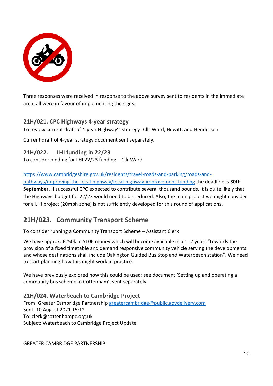

Three responses were received in response to the above survey sent to residents in the immediate area, all were in favour of implementing the signs.

# **21H/021. CPC Highways 4-year strategy**

To review current draft of 4-year Highway's strategy -Cllr Ward, Hewitt, and Henderson

Current draft of 4-year strategy document sent separately.

**21H/022. LHI funding in 22/23**

To consider bidding for LHI 22/23 funding – Cllr Ward

[https://www.cambridgeshire.gov.uk/residents/travel-roads-and-parking/roads-and-](https://www.cambridgeshire.gov.uk/residents/travel-roads-and-parking/roads-and-pathways/improving-the-local-highway/local-highway-improvement-funding)

[pathways/improving-the-local-highway/local-highway-improvement-funding](https://www.cambridgeshire.gov.uk/residents/travel-roads-and-parking/roads-and-pathways/improving-the-local-highway/local-highway-improvement-funding) the deadline is **30th September.** If successful CPC expected to contribute several thousand pounds. It is quite likely that the Highways budget for 22/23 would need to be reduced. Also, the main project we might consider for a LHI project (20mph zone) is not sufficiently developed for this round of applications.

# **21H/023. Community Transport Scheme**

To consider running a Community Transport Scheme – Assistant Clerk

We have approx. £250k in S106 money which will become available in a 1- 2 years "towards the provision of a fixed timetable and demand responsive community vehicle serving the developments and whose destinations shall include Oakington Guided Bus Stop and Waterbeach station". We need to start planning how this might work in practice.

We have previously explored how this could be used: see document 'Setting up and operating a community bus scheme in Cottenham', sent separately.

**21H/024. Waterbeach to Cambridge Project** From: Greater Cambridge Partnership [greatercambridge@public.govdelivery.com](mailto:greatercambridge@public.govdelivery.com) Sent: 10 August 2021 15:12 To: clerk@cottenhampc.org.uk Subject: Waterbeach to Cambridge Project Update

GREATER CAMBRIDGE PARTNERSHIP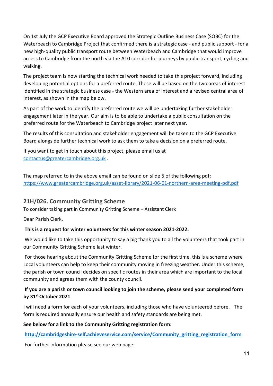On 1st July the GCP Executive Board approved the Strategic Outline Business Case (SOBC) for the Waterbeach to Cambridge Project that confirmed there is a strategic case - and public support - for a new high-quality public transport route between Waterbeach and Cambridge that would improve access to Cambridge from the north via the A10 corridor for journeys by public transport, cycling and walking.

The project team is now starting the technical work needed to take this project forward, including developing potential options for a preferred route. These will be based on the two areas of interest identified in the strategic business case - the Western area of interest and a revised central area of interest, as shown in the map below.

As part of the work to identify the preferred route we will be undertaking further stakeholder engagement later in the year. Our aim is to be able to undertake a public consultation on the preferred route for the Waterbeach to Cambridge project later next year.

The results of this consultation and stakeholder engagement will be taken to the GCP Executive Board alongside further technical work to ask them to take a decision on a preferred route.

If you want to get in touch about this project, please email us at [contactus@greatercambridge.org.uk](mailto:contactus@greatercambridge.org.uk) .

The map referred to in the above email can be found on slide 5 of the following pdf: <https://www.greatercambridge.org.uk/asset-library/2021-06-01-northern-area-meeting-pdf.pdf>

# **21H/026. Community Gritting Scheme**

To consider taking part in Community Gritting Scheme – Assistant Clerk

Dear Parish Clerk,

# **This is a request for winter volunteers for this winter season 2021-2022.**

We would like to take this opportunity to say a big thank you to all the volunteers that took part in our Community Gritting Scheme last winter.

For those hearing about the Community Gritting Scheme for the first time, this is a scheme where Local volunteers can help to keep their community moving in freezing weather. Under this scheme, the parish or town council decides on specific routes in their area which are important to the local community and agrees them with the county council.

# **If you are a parish or town council looking to join the scheme, please send your completed form by 31st October 2021**.

I will need a form for each of your volunteers, including those who have volunteered before. The form is required annually ensure our health and safety standards are being met.

# **See below for a link to the Community Gritting registration form:**

**[http://cambridgeshire-self.achieveservice.com/service/Community\\_gritting\\_registration\\_form](http://cambridgeshire-self.achieveservice.com/service/Community_gritting_registration_form)**

For further information please see our web page: